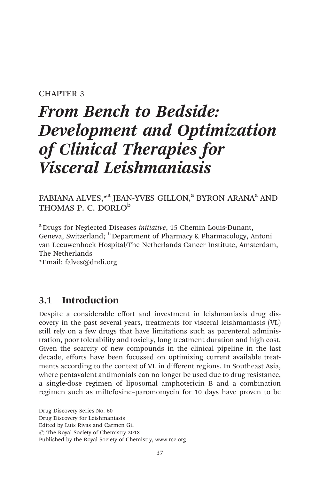### CHAPTER 3

# From Bench to Bedside: Development and Optimization of Clinical Therapies for Visceral Leishmaniasis

# FABIANA ALVES, \*\* JEAN-YVES GILLON,\* BYRON ARANA\* AND THOMAS P. C. DORLO<sup>b</sup>

<sup>a</sup> Drugs for Neglected Diseases initiative, 15 Chemin Louis-Dunant, Geneva, Switzerland; <sup>b</sup> Department of Pharmacy & Pharmacology, Antoni van Leeuwenhoek Hospital/The Netherlands Cancer Institute, Amsterdam, The Netherlands

\*Email: falves@dndi.org

# 3.1 Introduction

Despite a considerable effort and investment in leishmaniasis drug discovery in the past several years, treatments for visceral leishmaniasis (VL) still rely on a few drugs that have limitations such as parenteral administration, poor tolerability and toxicity, long treatment duration and high cost. Given the scarcity of new compounds in the clinical pipeline in the last decade, efforts have been focussed on optimizing current available treatments according to the context of VL in different regions. In Southeast Asia, where pentavalent antimonials can no longer be used due to drug resistance, a single-dose regimen of liposomal amphotericin B and a combination regimen such as miltefosine–paromomycin for 10 days have proven to be

Drug Discovery Series No. 60

Drug Discovery for Leishmaniasis

Edited by Luis Rivas and Carmen Gil

 $C$  The Royal Society of Chemistry 2018

Published by the Royal Society of Chemistry, www.rsc.org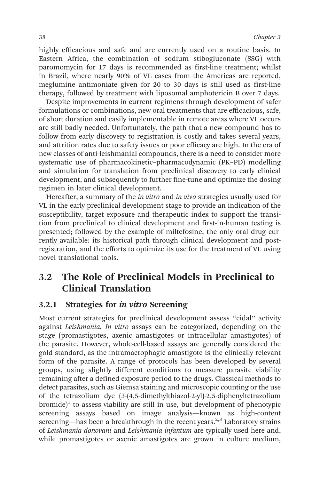highly efficacious and safe and are currently used on a routine basis. In Eastern Africa, the combination of sodium stibogluconate (SSG) with paromomycin for 17 days is recommended as first-line treatment; whilst in Brazil, where nearly 90% of VL cases from the Americas are reported, meglumine antimoniate given for 20 to 30 days is still used as first-line therapy, followed by treatment with liposomal amphotericin B over 7 days.

Despite improvements in current regimens through development of safer formulations or combinations, new oral treatments that are efficacious, safe, of short duration and easily implementable in remote areas where VL occurs are still badly needed. Unfortunately, the path that a new compound has to follow from early discovery to registration is costly and takes several years, and attrition rates due to safety issues or poor efficacy are high. In the era of new classes of anti-leishmanial compounds, there is a need to consider more systematic use of pharmacokinetic–pharmacodynamic (PK–PD) modelling and simulation for translation from preclinical discovery to early clinical development, and subsequently to further fine-tune and optimize the dosing regimen in later clinical development.

Hereafter, a summary of the *in vitro* and *in vivo* strategies usually used for VL in the early preclinical development stage to provide an indication of the susceptibility, target exposure and therapeutic index to support the transition from preclinical to clinical development and first-in-human testing is presented; followed by the example of miltefosine, the only oral drug currently available: its historical path through clinical development and postregistration, and the efforts to optimize its use for the treatment of VL using novel translational tools.

# 3.2 The Role of Preclinical Models in Preclinical to Clinical Translation

#### 3.2.1 Strategies for in vitro Screening

Most current strategies for preclinical development assess ''cidal'' activity against Leishmania. In vitro assays can be categorized, depending on the stage (promastigotes, axenic amastigotes or intracellular amastigotes) of the parasite. However, whole-cell-based assays are generally considered the gold standard, as the intramacrophagic amastigote is the clinically relevant form of the parasite. A range of protocols has been developed by several groups, using slightly different conditions to measure parasite viability remaining after a defined exposure period to the drugs. Classical methods to detect parasites, such as Giemsa staining and microscopic counting or the use of the tetrazolium dye (3-(4,5-dimethylthiazol-2-yl)-2,5-diphenyltetrazolium bromide)<sup>1</sup> to assess viability are still in use, but development of phenotypic screening assays based on image analysis—known as high-content screening—has been a breakthrough in the recent years.<sup>2,3</sup> Laboratory strains of Leishmania donovani and Leishmania infantum are typically used here and, while promastigotes or axenic amastigotes are grown in culture medium,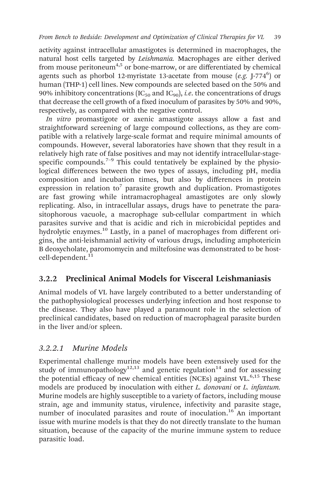activity against intracellular amastigotes is determined in macrophages, the natural host cells targeted by *Leishmania*. Macrophages are either derived from mouse peritoneum<sup>4,5</sup> or bone-marrow, or are differentiated by chemical agents such as phorbol 12-myristate 13-acetate from mouse  $(e.g. J-774<sup>6</sup>)$  or human (THP-1) cell lines. New compounds are selected based on the 50% and 90% inhibitory concentrations (IC<sub>50</sub> and IC<sub>90</sub>), *i.e.* the concentrations of drugs that decrease the cell growth of a fixed inoculum of parasites by 50% and 90%, respectively, as compared with the negative control.

In vitro promastigote or axenic amastigote assays allow a fast and straightforward screening of large compound collections, as they are compatible with a relatively large-scale format and require minimal amounts of compounds. However, several laboratories have shown that they result in a relatively high rate of false positives and may not identify intracellular-stagespecific compounds.<sup>7–9</sup> This could tentatively be explained by the physiological differences between the two types of assays, including pH, media composition and incubation times, but also by differences in protein expression in relation to<sup>7</sup> parasite growth and duplication. Promastigotes are fast growing while intramacrophageal amastigotes are only slowly replicating. Also, in intracellular assays, drugs have to penetrate the parasitophorous vacuole, a macrophage sub-cellular compartment in which parasites survive and that is acidic and rich in microbicidal peptides and hydrolytic enzymes.<sup>10</sup> Lastly, in a panel of macrophages from different origins, the anti-leishmanial activity of various drugs, including amphotericin B deoxycholate, paromomycin and miltefosine was demonstrated to be hostcell-dependent.<sup>11</sup>

# 3.2.2 Preclinical Animal Models for Visceral Leishmaniasis

Animal models of VL have largely contributed to a better understanding of the pathophysiological processes underlying infection and host response to the disease. They also have played a paramount role in the selection of preclinical candidates, based on reduction of macrophageal parasite burden in the liver and/or spleen.

### 3.2.2.1 Murine Models

Experimental challenge murine models have been extensively used for the study of immunopathology<sup>12,13</sup> and genetic regulation<sup>14</sup> and for assessing the potential efficacy of new chemical entities (NCEs) against VL. $^{6,15}$  These models are produced by inoculation with either L. donovani or L. infantum. Murine models are highly susceptible to a variety of factors, including mouse strain, age and immunity status, virulence, infectivity and parasite stage, number of inoculated parasites and route of inoculation.<sup>16</sup> An important issue with murine models is that they do not directly translate to the human situation, because of the capacity of the murine immune system to reduce parasitic load.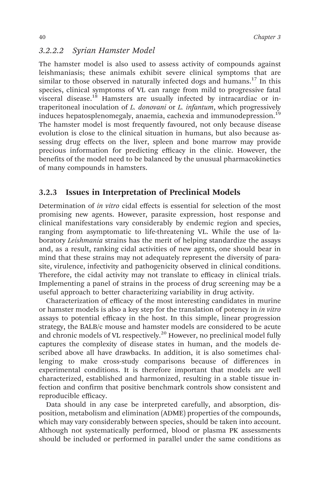#### 3.2.2.2 Syrian Hamster Model

The hamster model is also used to assess activity of compounds against leishmaniasis; these animals exhibit severe clinical symptoms that are similar to those observed in naturally infected dogs and humans.<sup>17</sup> In this species, clinical symptoms of VL can range from mild to progressive fatal visceral disease.<sup>18</sup> Hamsters are usually infected by intracardiac or intraperitoneal inoculation of L. donovani or L. infantum, which progressively induces hepatosplenomegaly, anaemia, cachexia and immunodepression.<sup>19</sup> The hamster model is most frequently favoured, not only because disease evolution is close to the clinical situation in humans, but also because assessing drug effects on the liver, spleen and bone marrow may provide precious information for predicting efficacy in the clinic. However, the benefits of the model need to be balanced by the unusual pharmacokinetics of many compounds in hamsters.

#### 3.2.3 Issues in Interpretation of Preclinical Models

Determination of in vitro cidal effects is essential for selection of the most promising new agents. However, parasite expression, host response and clinical manifestations vary considerably by endemic region and species, ranging from asymptomatic to life-threatening VL. While the use of laboratory Leishmania strains has the merit of helping standardize the assays and, as a result, ranking cidal activities of new agents, one should bear in mind that these strains may not adequately represent the diversity of parasite, virulence, infectivity and pathogenicity observed in clinical conditions. Therefore, the cidal activity may not translate to efficacy in clinical trials. Implementing a panel of strains in the process of drug screening may be a useful approach to better characterizing variability in drug activity.

Characterization of efficacy of the most interesting candidates in murine or hamster models is also a key step for the translation of potency in in vitro assays to potential efficacy in the host. In this simple, linear progression strategy, the BALB/c mouse and hamster models are considered to be acute and chronic models of VL respectively.<sup>20</sup> However, no preclinical model fully captures the complexity of disease states in human, and the models described above all have drawbacks. In addition, it is also sometimes challenging to make cross-study comparisons because of differences in experimental conditions. It is therefore important that models are well characterized, established and harmonized, resulting in a stable tissue infection and confirm that positive benchmark controls show consistent and reproducible efficacy.

Data should in any case be interpreted carefully, and absorption, disposition, metabolism and elimination (ADME) properties of the compounds, which may vary considerably between species, should be taken into account. Although not systematically performed, blood or plasma PK assessments should be included or performed in parallel under the same conditions as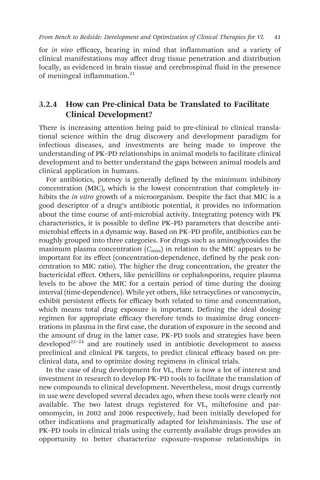for in vivo efficacy, bearing in mind that inflammation and a variety of clinical manifestations may affect drug tissue penetration and distribution locally, as evidenced in brain tissue and cerebrospinal fluid in the presence of meningeal inflammation.<sup>21</sup>

# 3.2.4 How can Pre-clinical Data be Translated to Facilitate Clinical Development?

There is increasing attention being paid to pre-clinical to clinical translational science within the drug discovery and development paradigm for infectious diseases, and investments are being made to improve the understanding of PK–PD relationships in animal models to facilitate clinical development and to better understand the gaps between animal models and clinical application in humans.

For antibiotics, potency is generally defined by the minimum inhibitory concentration (MIC), which is the lowest concentration that completely inhibits the in vitro growth of a microorganism. Despite the fact that MIC is a good descriptor of a drug's antibiotic potential, it provides no information about the time course of anti-microbial activity. Integrating potency with PK characteristics, it is possible to define PK–PD parameters that describe antimicrobial effects in a dynamic way. Based on PK–PD profile, antibiotics can be roughly grouped into three categories. For drugs such as aminoglycosides the maximum plasma concentration  $(C_{\text{max}})$  in relation to the MIC appears to be important for its effect (concentration-dependence, defined by the peak concentration to MIC ratio). The higher the drug concentration, the greater the bactericidal effect. Others, like penicillins or cephalosporins, require plasma levels to be above the MIC for a certain period of time during the dosing interval (time-dependence). While yet others, like tetracyclines or vancomycin, exhibit persistent effects for efficacy both related to time and concentration, which means total drug exposure is important. Defining the ideal dosing regimen for appropriate efficacy therefore tends to maximize drug concentrations in plasma in the first case, the duration of exposure in the second and the amount of drug in the latter case. PK–PD tools and strategies have been developed<sup>22–24</sup> and are routinely used in antibiotic development to assess preclinical and clinical PK targets, to predict clinical efficacy based on preclinical data, and to optimize dosing regimens in clinical trials.

In the case of drug development for VL, there is now a lot of interest and investment in research to develop PK–PD tools to facilitate the translation of new compounds to clinical development. Nevertheless, most drugs currently in use were developed several decades ago, when these tools were clearly not available. The two latest drugs registered for VL, miltefosine and paromomycin, in 2002 and 2006 respectively, had been initially developed for other indications and pragmatically adapted for leishmaniasis. The use of PK–PD tools in clinical trials using the currently available drugs provides an opportunity to better characterize exposure–response relationships in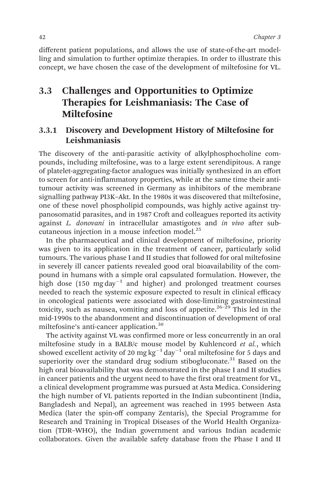different patient populations, and allows the use of state-of-the-art modelling and simulation to further optimize therapies. In order to illustrate this concept, we have chosen the case of the development of miltefosine for VL.

# 3.3 Challenges and Opportunities to Optimize Therapies for Leishmaniasis: The Case of Miltefosine

# 3.3.1 Discovery and Development History of Miltefosine for Leishmaniasis

The discovery of the anti-parasitic activity of alkylphosphocholine compounds, including miltefosine, was to a large extent serendipitous. A range of platelet-aggregating-factor analogues was initially synthesized in an effort to screen for anti-inflammatory properties, while at the same time their antitumour activity was screened in Germany as inhibitors of the membrane signalling pathway PI3K–Akt. In the 1980s it was discovered that miltefosine, one of these novel phospholipid compounds, was highly active against trypanosomatid parasites, and in 1987 Croft and colleagues reported its activity against L. donovani in intracellular amastigotes and in vivo after subcutaneous injection in a mouse infection model.<sup>25</sup>

In the pharmaceutical and clinical development of miltefosine, priority was given to its application in the treatment of cancer, particularly solid tumours. The various phase I and II studies that followed for oral miltefosine in severely ill cancer patients revealed good oral bioavailability of the compound in humans with a simple oral capsulated formulation. However, the high dose  $(150 \text{ mg day}^{-1}$  and higher) and prolonged treatment courses needed to reach the systemic exposure expected to result in clinical efficacy in oncological patients were associated with dose-limiting gastrointestinal toxicity, such as nausea, vomiting and loss of appetite.<sup>26–29</sup> This led in the mid-1990s to the abandonment and discontinuation of development of oral miltefosine's anti-cancer application.<sup>30</sup>

The activity against VL was confirmed more or less concurrently in an oral miltefosine study in a BALB/c mouse model by Kuhlencord et al., which showed excellent activity of 20 mg  $kg^{-1}$  day $^{-1}$  oral miltefosine for 5 days and superiority over the standard drug sodium stibogluconate.<sup>31</sup> Based on the high oral bioavailability that was demonstrated in the phase I and II studies in cancer patients and the urgent need to have the first oral treatment for VL, a clinical development programme was pursued at Asta Medica. Considering the high number of VL patients reported in the Indian subcontinent (India, Bangladesh and Nepal), an agreement was reached in 1995 between Asta Medica (later the spin-off company Zentaris), the Special Programme for Research and Training in Tropical Diseases of the World Health Organization (TDR–WHO), the Indian government and various Indian academic collaborators. Given the available safety database from the Phase I and II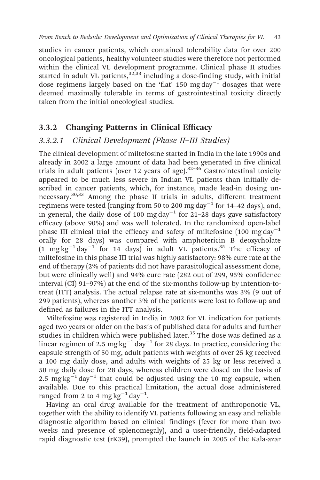studies in cancer patients, which contained tolerability data for over 200 oncological patients, healthy volunteer studies were therefore not performed within the clinical VL development programme. Clinical phase II studies started in adult VL patients,  $32,33$  including a dose-finding study, with initial dose regimens largely based on the 'flat' 150  $mg \, day^{-1}$  dosages that were deemed maximally tolerable in terms of gastrointestinal toxicity directly taken from the initial oncological studies.

### 3.3.2 Changing Patterns in Clinical Efficacy

#### 3.3.2.1 Clinical Development (Phase II–III Studies)

The clinical development of miltefosine started in India in the late 1990s and already in 2002 a large amount of data had been generated in five clinical trials in adult patients (over 12 years of age). $32-36$  Gastrointestinal toxicity appeared to be much less severe in Indian VL patients than initially described in cancer patients, which, for instance, made lead-in dosing unnecessary.30,33 Among the phase II trials in adults, different treatment regimens were tested (ranging from 50 to 200 mg day $^{-1}$  for 14-42 days), and, in general, the daily dose of 100  $mg \, day^{-1}$  for 21-28 days gave satisfactory efficacy (above 90%) and was well tolerated. In the randomized open-label phase III clinical trial the efficacy and safety of miltefosine  $(100 \text{ mg day}^{-1}$ orally for 28 days) was compared with amphotericin B deoxycholate  $(1 \text{ mg kg}^{-1} \text{ day}^{-1} \text{ for } 14 \text{ days})$  in adult VL patients.<sup>35</sup> The efficacy of miltefosine in this phase III trial was highly satisfactory: 98% cure rate at the end of therapy (2% of patients did not have parasitological assessment done, but were clinically well) and 94% cure rate (282 out of 299, 95% confidence interval (CI) 91–97%) at the end of the six-months follow-up by intention-totreat (ITT) analysis. The actual relapse rate at six-months was 3% (9 out of 299 patients), whereas another 3% of the patients were lost to follow-up and defined as failures in the ITT analysis.

Miltefosine was registered in India in 2002 for VL indication for patients aged two years or older on the basis of published data for adults and further studies in children which were published later.<sup>35</sup> The dose was defined as a linear regimen of 2.5 mg kg $^{-1}$  day $^{-1}$  for 28 days. In practice, considering the capsule strength of 50 mg, adult patients with weights of over 25 kg received a 100 mg daily dose, and adults with weights of 25 kg or less received a 50 mg daily dose for 28 days, whereas children were dosed on the basis of 2.5  $mg \text{ kg}^{-1} \text{ day}^{-1}$  that could be adjusted using the 10 mg capsule, when available. Due to this practical limitation, the actual dose administered ranged from 2 to 4 mg  $\text{kg}^{-1} \text{day}^{-1}$ .

Having an oral drug available for the treatment of anthroponotic VL, together with the ability to identify VL patients following an easy and reliable diagnostic algorithm based on clinical findings (fever for more than two weeks and presence of splenomegaly), and a user-friendly, field-adapted rapid diagnostic test (rK39), prompted the launch in 2005 of the Kala-azar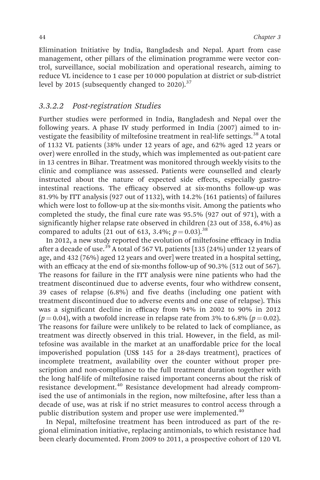Elimination Initiative by India, Bangladesh and Nepal. Apart from case management, other pillars of the elimination programme were vector control, surveillance, social mobilization and operational research, aiming to reduce VL incidence to 1 case per 10 000 population at district or sub-district level by 2015 (subsequently changed to  $2020$ ).<sup>37</sup>

### 3.3.2.2 Post-registration Studies

Further studies were performed in India, Bangladesh and Nepal over the following years. A phase IV study performed in India (2007) aimed to investigate the feasibility of miltefosine treatment in real-life settings.<sup>38</sup> A total of 1132 VL patients (38% under 12 years of age, and 62% aged 12 years or over) were enrolled in the study, which was implemented as out-patient care in 13 centres in Bihar. Treatment was monitored through weekly visits to the clinic and compliance was assessed. Patients were counselled and clearly instructed about the nature of expected side effects, especially gastrointestinal reactions. The efficacy observed at six-months follow-up was 81.9% by ITT analysis (927 out of 1132), with 14.2% (161 patients) of failures which were lost to follow-up at the six-months visit. Among the patients who completed the study, the final cure rate was 95.5% (927 out of 971), with a significantly higher relapse rate observed in children (23 out of 358, 6.4%) as compared to adults (21 out of 613, 3.4%;  $p = 0.03$ )<sup>38</sup>.

In 2012, a new study reported the evolution of miltefosine efficacy in India after a decade of use.<sup>39</sup> A total of 567 VL patients [135 (24%) under 12 years of age, and 432 (76%) aged 12 years and over] were treated in a hospital setting, with an efficacy at the end of six-months follow-up of 90.3% (512 out of 567). The reasons for failure in the ITT analysis were nine patients who had the treatment discontinued due to adverse events, four who withdrew consent, 39 cases of relapse (6.8%) and five deaths (including one patient with treatment discontinued due to adverse events and one case of relapse). This was a significant decline in efficacy from 94% in 2002 to 90% in 2012  $(p = 0.04)$ , with a twofold increase in relapse rate from 3% to 6.8%  $(p = 0.02)$ . The reasons for failure were unlikely to be related to lack of compliance, as treatment was directly observed in this trial. However, in the field, as miltefosine was available in the market at an unaffordable price for the local impoverished population (US\$ 145 for a 28-days treatment), practices of incomplete treatment, availability over the counter without proper prescription and non-compliance to the full treatment duration together with the long half-life of miltefosine raised important concerns about the risk of resistance development.<sup>40</sup> Resistance development had already compromised the use of antimonials in the region, now miltefosine, after less than a decade of use, was at risk if no strict measures to control access through a public distribution system and proper use were implemented.<sup>40</sup>

In Nepal, miltefosine treatment has been introduced as part of the regional elimination initiative, replacing antimonials, to which resistance had been clearly documented. From 2009 to 2011, a prospective cohort of 120 VL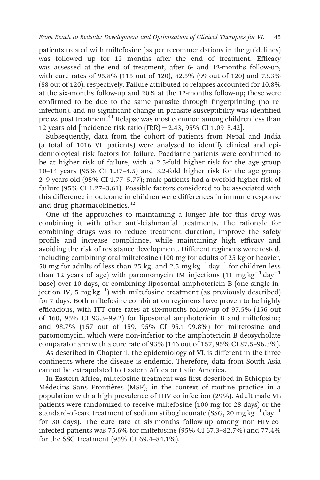patients treated with miltefosine (as per recommendations in the guidelines) was followed up for 12 months after the end of treatment. Efficacy was assessed at the end of treatment, after 6- and 12-months follow-up, with cure rates of 95.8% (115 out of 120), 82.5% (99 out of 120) and 73.3% (88 out of 120), respectively. Failure attributed to relapses accounted for 10.8% at the six-months follow-up and 20% at the 12-months follow-up; these were confirmed to be due to the same parasite through fingerprinting (no reinfection), and no significant change in parasite susceptibility was identified pre vs. post treatment.41 Relapse was most common among children less than 12 years old [incidence risk ratio  $IIRR$ ] = 2.43, 95% CI 1.09-5.42].

Subsequently, data from the cohort of patients from Nepal and India (a total of 1016 VL patients) were analysed to identify clinical and epidemiological risk factors for failure. Paediatric patients were confirmed to be at higher risk of failure, with a 2.5-fold higher risk for the age group 10–14 years (95% CI 1.37–4.5) and 3.2-fold higher risk for the age group 2–9 years old (95% CI 1.77–5.77); male patients had a twofold higher risk of failure (95% CI 1.27–3.61). Possible factors considered to be associated with this difference in outcome in children were differences in immune response and drug pharmacokinetics.<sup>42</sup>

One of the approaches to maintaining a longer life for this drug was combining it with other anti-leishmanial treatments. The rationale for combining drugs was to reduce treatment duration, improve the safety profile and increase compliance, while maintaining high efficacy and avoiding the risk of resistance development. Different regimens were tested, including combining oral miltefosine (100 mg for adults of 25 kg or heavier, 50 mg for adults of less than 25 kg, and 2.5 mg  $kg^{-1}$  day<sup>-1</sup> for children less than 12 years of age) with paromomycin IM injections  $(11 \text{ mg kg}^{-1} \text{ day}^{-1})$ base) over 10 days, or combining liposomal amphotericin B (one single injection IV, 5 mg kg<sup>-1</sup>) with miltefosine treatment (as previously described) for 7 days. Both miltefosine combination regimens have proven to be highly efficacious, with ITT cure rates at six-months follow-up of 97.5% (156 out of 160, 95% CI 93.3–99.2) for liposomal amphotericin B and miltefosine; and 98.7% (157 out of 159, 95% CI 95.1–99.8%) for miltefosine and paromomycin, which were non-inferior to the amphotericin B deoxycholate comparator arm with a cure rate of 93% (146 out of 157, 95% CI 87.5–96.3%).

As described in Chapter 1, the epidemiology of VL is different in the three continents where the disease is endemic. Therefore, data from South Asia cannot be extrapolated to Eastern Africa or Latin America.

In Eastern Africa, miltefosine treatment was first described in Ethiopia by Médecins Sans Frontières (MSF), in the context of routine practice in a population with a high prevalence of HIV co-infection (29%). Adult male VL patients were randomized to receive miltefosine (100 mg for 28 days) or the standard-of-care treatment of sodium stibogluconate (SSG, 20 mg  $\mathrm{kg}^{-1}\,\mathrm{day}^{-1}$ for 30 days). The cure rate at six-months follow-up among non-HIV-coinfected patients was 75.6% for miltefosine (95% CI 67.3–82.7%) and 77.4% for the SSG treatment (95% CI 69.4–84.1%).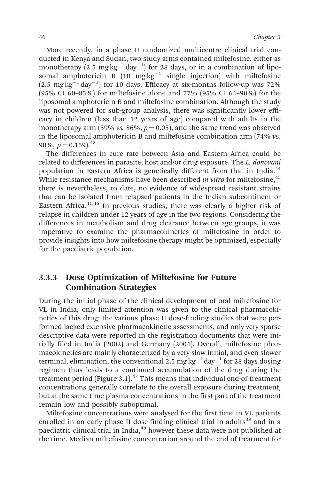More recently, in a phase II randomized multicentre clinical trial conducted in Kenya and Sudan, two study arms contained miltefosine, either as monotherapy  $(2.5 \, \text{mg}\,\text{kg}^{-1}\,\text{day}^{-1})$  for 28 days, or in a combination of liposomal amphotericin B  $(10 \text{ mg kg}^{-1} \text{ single injection})$  with miltefosine  $(2.5 \text{ mg kg}^{-1} \text{day}^{-1})$  for 10 days. Efficacy at six-months follow-up was 72% (95% CI 60–85%) for miltefosine alone and 77% (95% CI 64–90%) for the liposomal amphotericin B and miltefosine combination. Although the study was not powered for sub-group analysis, there was significantly lower efficacy in children (less than 12 years of age) compared with adults in the monotherapy arm (59% *vs.* 86%,  $p = 0.05$ ), and the same trend was observed in the liposomal amphotericin B and miltefosine combination arm (74% vs. 90\%,  $p = 0.159$ .<sup>43</sup>

The differences in cure rate between Asia and Eastern Africa could be related to differences in parasite, host and/or drug exposure. The L. donovani population in Eastern Africa is genetically different from that in India.<sup>44</sup> While resistance mechanisms have been described in vitro for miltefosine,  $45$ there is nevertheless, to date, no evidence of widespread resistant strains that can be isolated from relapsed patients in the Indian subcontinent or Eastern Africa.41,46 In previous studies, there was clearly a higher risk of relapse in children under 12 years of age in the two regions. Considering the differences in metabolism and drug clearance between age groups, it was imperative to examine the pharmacokinetics of miltefosine in order to provide insights into how miltefosine therapy might be optimized, especially for the paediatric population.

# 3.3.3 Dose Optimization of Miltefosine for Future Combination Strategies

During the initial phase of the clinical development of oral miltefosine for VL in India, only limited attention was given to the clinical pharmacokinetics of this drug: the various phase II dose-finding studies that were performed lacked extensive pharmacokinetic assessments, and only very sparse descriptive data were reported in the registration documents that were initially filed in India (2002) and Germany (2004). Overall, miltefosine pharmacokinetics are mainly characterized by a very slow initial, and even slower terminal, elimination; the conventional 2.5 mg  $\text{kg}^{-1}$  day<sup>-1</sup> for 28 days dosing regimen thus leads to a continued accumulation of the drug during the treatment period (Figure 3.1). $^{47}$  This means that individual end-of-treatment concentrations generally correlate to the overall exposure during treatment, but at the same time plasma concentrations in the first part of the treatment remain low and possibly suboptimal.

Miltefosine concentrations were analysed for the first time in VL patients enrolled in an early phase II dose-finding clinical trial in adults<sup>33</sup> and in a paediatric clinical trial in India,<sup>48</sup> however these data were not published at the time. Median miltefosine concentration around the end of treatment for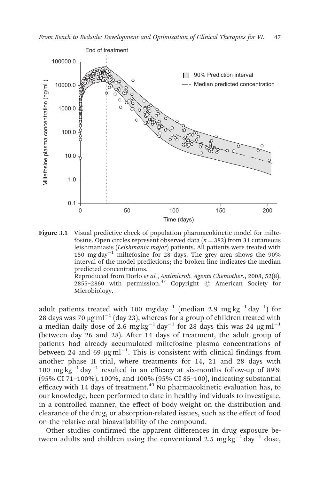

Figure 3.1 Visual predictive check of population pharmacokinetic model for miltefosine. Open circles represent observed data ( $n = 382$ ) from 31 cutaneous leishmaniasis (Leishmania major) patients. All patients were treated with 150 mg day $^{-1}$  miltefosine for 28 days. The grey area shows the 90% interval of the model predictions; the broken line indicates the median predicted concentrations. Reproduced from Dorlo et al., Antimicrob. Agents Chemother., 2008, 52(8), 2855–2860 with permission.<sup>47</sup> Copyright  $\odot$  American Society for Microbiology.

adult patients treated with 100  $\mathrm{mg}\,\mathrm{day}^{-1}$  (median 2.9  $\mathrm{mg}\,\mathrm{kg}^{-1}\,\mathrm{day}^{-1})$  for 28 days was 70  $\mu$ g ml<sup>-1</sup> (day 23), whereas for a group of children treated with a median daily dose of 2.6 mg kg<sup>-1</sup> day<sup>-1</sup> for 28 days this was 24  $\mu$ g ml<sup>-1</sup> (between day 26 and 28). After 14 days of treatment, the adult group of patients had already accumulated miltefosine plasma concentrations of between 24 and 69  $\mu$ g ml<sup>-1</sup>. This is consistent with clinical findings from another phase II trial, where treatments for 14, 21 and 28 days with 100 mg  $kg^{-1}$  day<sup>-1</sup> resulted in an efficacy at six-months follow-up of 89% (95% CI 71–100%), 100%, and 100% (95% CI 85–100), indicating substantial efficacy with 14 days of treatment.<sup>49</sup> No pharmacokinetic evaluation has, to our knowledge, been performed to date in healthy individuals to investigate, in a controlled manner, the effect of body weight on the distribution and clearance of the drug, or absorption-related issues, such as the effect of food on the relative oral bioavailability of the compound.

Other studies confirmed the apparent differences in drug exposure between adults and children using the conventional 2.5 mg kg<sup>-1</sup> day<sup>-1</sup> dose,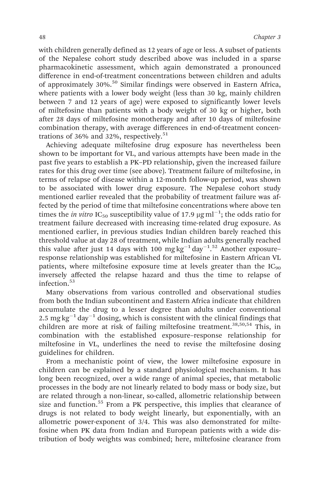with children generally defined as 12 years of age or less. A subset of patients of the Nepalese cohort study described above was included in a sparse pharmacokinetic assessment, which again demonstrated a pronounced difference in end-of-treatment concentrations between children and adults of approximately 30%.<sup>50</sup> Similar findings were observed in Eastern Africa, where patients with a lower body weight (less than 30 kg, mainly children between 7 and 12 years of age) were exposed to significantly lower levels of miltefosine than patients with a body weight of 30 kg or higher, both after 28 days of miltefosine monotherapy and after 10 days of miltefosine combination therapy, with average differences in end-of-treatment concentrations of 36% and 32%, respectively. $51$ 

Achieving adequate miltefosine drug exposure has nevertheless been shown to be important for VL, and various attempts have been made in the past five years to establish a PK–PD relationship, given the increased failure rates for this drug over time (see above). Treatment failure of miltefosine, in terms of relapse of disease within a 12-month follow-up period, was shown to be associated with lower drug exposure. The Nepalese cohort study mentioned earlier revealed that the probability of treatment failure was affected by the period of time that miltefosine concentrations where above ten times the *in vitro* IC<sub>50</sub> susceptibility value of 17.9  $\mu$ g ml<sup>-1</sup>; the odds ratio for treatment failure decreased with increasing time-related drug exposure. As mentioned earlier, in previous studies Indian children barely reached this threshold value at day 28 of treatment, while Indian adults generally reached this value after just 14 days with 100  $\text{mg}\, \text{kg}^{-1} \, \text{day}^{-1}$ .<sup>52</sup> Another exposureresponse relationship was established for miltefosine in Eastern African VL patients, where miltefosine exposure time at levels greater than the  $IC_{90}$ inversely affected the relapse hazard and thus the time to relapse of infection.<sup>53</sup>

Many observations from various controlled and observational studies from both the Indian subcontinent and Eastern Africa indicate that children accumulate the drug to a lesser degree than adults under conventional 2.5 mg kg<sup>-1</sup> day<sup>-1</sup> dosing, which is consistent with the clinical findings that children are more at risk of failing miltefosine treatment.<sup>38,50,54</sup> This, in combination with the established exposure–response relationship for miltefosine in VL, underlines the need to revise the miltefosine dosing guidelines for children.

From a mechanistic point of view, the lower miltefosine exposure in children can be explained by a standard physiological mechanism. It has long been recognized, over a wide range of animal species, that metabolic processes in the body are not linearly related to body mass or body size, but are related through a non-linear, so-called, allometric relationship between size and function.<sup>55</sup> From a PK perspective, this implies that clearance of drugs is not related to body weight linearly, but exponentially, with an allometric power-exponent of 3/4. This was also demonstrated for miltefosine when PK data from Indian and European patients with a wide distribution of body weights was combined; here, miltefosine clearance from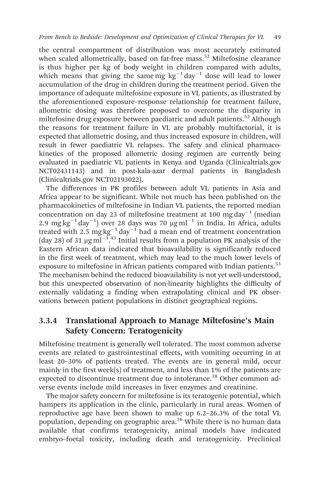the central compartment of distribution was most accurately estimated when scaled allometrically, based on fat-free mass.<sup>52</sup> Miltefosine clearance is thus higher per kg of body weight in children compared with adults, which means that giving the same $\, {\rm mg}$   $\, {\rm kg}^{-1} \, {\rm day}^{-1}$  dose will lead to lower accumulation of the drug in children during the treatment period. Given the importance of adequate miltefosine exposure in VL patients, as illustrated by the aforementioned exposure–response relationship for treatment failure, allometric dosing was therefore proposed to overcome the disparity in miltefosine drug exposure between paediatric and adult patients.<sup>52</sup> Although the reasons for treatment failure in VL are probably multifactorial, it is expected that allometric dosing, and thus increased exposure in children, will result in fewer paediatric VL relapses. The safety and clinical pharmacokinetics of the proposed allometric dosing regimen are currently being evaluated in paediatric VL patients in Kenya and Uganda (Clinicaltrials.gov NCT02431143) and in post-kala-azar dermal patients in Bangladesh (Clinicaltrials.gov NCT02193022).

The differences in PK profiles between adult VL patients in Asia and Africa appear to be significant. While not much has been published on the pharmacokinetics of miltefosine in Indian VL patients, the reported median concentration on day 23 of miltefosine treatment at 100 mg  $\rm day^{-1}$  (median 2.9 mg kg $^{-1}$ day $^{-1}$ ) over 28 days was 70  $\mu$ g ml $^{-1}$  in India. In Africa, adults treated with 2.5  $\mathrm{mg\,kg^{-1}\,day^{-1}}$  had a mean end of treatment concentration (day 28) of 31  $\mu$ g ml<sup>-1</sup>.<sup>43</sup> Initial results from a population PK analysis of the Eastern African data indicated that bioavailability is significantly reduced in the first week of treatment, which may lead to the much lower levels of exposure to miltefosine in African patients compared with Indian patients.<sup>53</sup> The mechanism behind the reduced bioavailability is not yet well-understood, but this unexpected observation of non-linearity highlights the difficulty of externally validating a finding when extrapolating clinical and PK observations between patient populations in distinct geographical regions.

# 3.3.4 Translational Approach to Manage Miltefosine's Main Safety Concern: Teratogenicity

Miltefosine treatment is generally well tolerated. The most common adverse events are related to gastrointestinal effects, with vomiting occurring in at least 20–30% of patients treated. The events are in general mild, occur mainly in the first week(s) of treatment, and less than 1% of the patients are expected to discontinue treatment due to intolerance.<sup>38</sup> Other common adverse events include mild increases in liver enzymes and creatinine.

The major safety concern for miltefosine is its teratogenic potential, which hampers its application in the clinic, particularly in rural areas. Women of reproductive age have been shown to make up 6.2–26.3% of the total VL population, depending on geographic area.<sup>56</sup> While there is no human data available that confirms teratogenicity, animal models have indicated embryo–foetal toxicity, including death and teratogenicity. Preclinical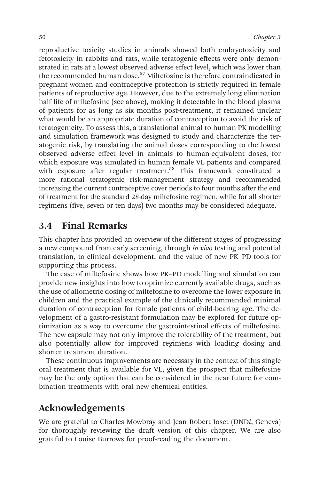reproductive toxicity studies in animals showed both embryotoxicity and fetotoxicity in rabbits and rats, while teratogenic effects were only demonstrated in rats at a lowest observed adverse effect level, which was lower than the recommended human dose.<sup>57</sup> Miltefosine is therefore contraindicated in pregnant women and contraceptive protection is strictly required in female patients of reproductive age. However, due to the extremely long elimination half-life of miltefosine (see above), making it detectable in the blood plasma of patients for as long as six months post-treatment, it remained unclear what would be an appropriate duration of contraception to avoid the risk of teratogenicity. To assess this, a translational animal-to-human PK modelling and simulation framework was designed to study and characterize the teratogenic risk, by translating the animal doses corresponding to the lowest observed adverse effect level in animals to human-equivalent doses, for which exposure was simulated in human female VL patients and compared with exposure after regular treatment.<sup>58</sup> This framework constituted a more rational teratogenic risk-management strategy and recommended increasing the current contraceptive cover periods to four months after the end of treatment for the standard 28-day miltefosine regimen, while for all shorter regimens (five, seven or ten days) two months may be considered adequate.

### 3.4 Final Remarks

This chapter has provided an overview of the different stages of progressing a new compound from early screening, through in vivo testing and potential translation, to clinical development, and the value of new PK–PD tools for supporting this process.

The case of miltefosine shows how PK–PD modelling and simulation can provide new insights into how to optimize currently available drugs, such as the use of allometric dosing of miltefosine to overcome the lower exposure in children and the practical example of the clinically recommended minimal duration of contraception for female patients of child-bearing age. The development of a gastro-resistant formulation may be explored for future optimization as a way to overcome the gastrointestinal effects of miltefosine. The new capsule may not only improve the tolerability of the treatment, but also potentially allow for improved regimens with loading dosing and shorter treatment duration.

These continuous improvements are necessary in the context of this single oral treatment that is available for VL, given the prospect that miltefosine may be the only option that can be considered in the near future for combination treatments with oral new chemical entities.

# Acknowledgements

We are grateful to Charles Mowbray and Jean Robert Ioset (DNDi, Geneva) for thoroughly reviewing the draft version of this chapter. We are also grateful to Louise Burrows for proof-reading the document.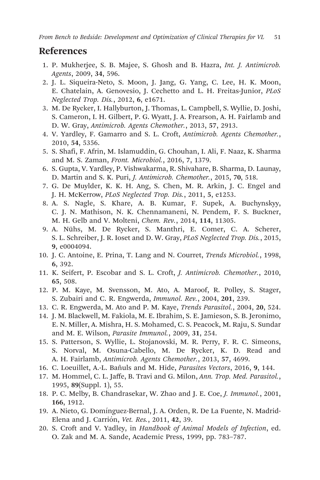From Bench to Bedside: Development and Optimization of Clinical Therapies for VL 51

# References

- 1. P. Mukherjee, S. B. Majee, S. Ghosh and B. Hazra, Int. J. Antimicrob. Agents, 2009, 34, 596.
- 2. J. L. Siqueira-Neto, S. Moon, J. Jang, G. Yang, C. Lee, H. K. Moon, E. Chatelain, A. Genovesio, J. Cechetto and L. H. Freitas-Junior, PLoS Neglected Trop. Dis., 2012, 6, e1671.
- 3. M. De Rycker, I. Hallyburton, J. Thomas, L. Campbell, S. Wyllie, D. Joshi, S. Cameron, I. H. Gilbert, P. G. Wyatt, J. A. Frearson, A. H. Fairlamb and D. W. Gray, Antimicrob. Agents Chemother., 2013, 57, 2913.
- 4. V. Yardley, F. Gamarro and S. L. Croft, Antimicrob. Agents Chemother., 2010, 54, 5356.
- 5. S. Shafi, F. Afrin, M. Islamuddin, G. Chouhan, I. Ali, F. Naaz, K. Sharma and M. S. Zaman, Front. Microbiol., 2016, 7, 1379.
- 6. S. Gupta, V. Yardley, P. Vishwakarma, R. Shivahare, B. Sharma, D. Launay, D. Martin and S. K. Puri, J. Antimicrob. Chemother., 2015, 70, 518.
- 7. G. De Muylder, K. K. H. Ang, S. Chen, M. R. Arkin, J. C. Engel and J. H. McKerrow, PLoS Neglected Trop. Dis., 2011, 5, e1253.
- 8. A. S. Nagle, S. Khare, A. B. Kumar, F. Supek, A. Buchynskyy, C. J. N. Mathison, N. K. Chennamaneni, N. Pendem, F. S. Buckner, M. H. Gelb and V. Molteni, Chem. Rev., 2014, 114, 11305.
- 9. A. Nühs, M. De Rycker, S. Manthri, E. Comer, C. A. Scherer, S. L. Schreiber, J. R. Ioset and D. W. Gray, PLoS Neglected Trop. Dis., 2015, 9, e0004094.
- 10. J. C. Antoine, E. Prina, T. Lang and N. Courret, Trends Microbiol., 1998, 6, 392.
- 11. K. Seifert, P. Escobar and S. L. Croft, J. Antimicrob. Chemother., 2010, 65, 508.
- 12. P. M. Kaye, M. Svensson, M. Ato, A. Maroof, R. Polley, S. Stager, S. Zubairi and C. R. Engwerda, Immunol. Rev., 2004, 201, 239.
- 13. C. R. Engwerda, M. Ato and P. M. Kaye, Trends Parasitol., 2004, 20, 524.
- 14. J. M. Blackwell, M. Fakiola, M. E. Ibrahim, S. E. Jamieson, S. B. Jeronimo, E. N. Miller, A. Mishra, H. S. Mohamed, C. S. Peacock, M. Raju, S. Sundar and M. E. Wilson, Parasite Immunol., 2009, 31, 254.
- 15. S. Patterson, S. Wyllie, L. Stojanovski, M. R. Perry, F. R. C. Simeons, S. Norval, M. Osuna-Cabello, M. De Rycker, K. D. Read and A. H. Fairlamb, Antimicrob. Agents Chemother., 2013, 57, 4699.
- 16. C. Loeuillet, A.-L. Bañuls and M. Hide, Parasites Vectors, 2016, 9, 144.
- 17. M. Hommel, C. L. Jaffe, B. Travi and G. Milon, Ann. Trop. Med. Parasitol., 1995, 89(Suppl. 1), 55.
- 18. P. C. Melby, B. Chandrasekar, W. Zhao and J. E. Coe, J. Immunol., 2001, 166, 1912.
- 19. A. Nieto, G. Domínguez-Bernal, J. A. Orden, R. De La Fuente, N. Madrid-Elena and J. Carrión, Vet. Res., 2011, 42, 39.
- 20. S. Croft and V. Yadley, in Handbook of Animal Models of Infection, ed. O. Zak and M. A. Sande, Academic Press, 1999, pp. 783–787.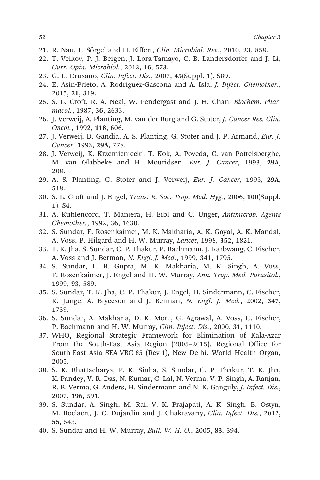- 21. R. Nau, F. Sörgel and H. Eiffert, Clin. Microbiol. Rev., 2010, 23, 858.
- 22. T. Velkov, P. J. Bergen, J. Lora-Tamayo, C. B. Landersdorfer and J. Li, Curr. Opin. Microbiol., 2013, 16, 573.
- 23. G. L. Drusano, Clin. Infect. Dis., 2007, 45(Suppl. 1), S89.
- 24. E. Asin-Prieto, A. Rodriguez-Gascona and A. Isla, J. Infect. Chemother., 2015, 21, 319.
- 25. S. L. Croft, R. A. Neal, W. Pendergast and J. H. Chan, Biochem. Pharmacol., 1987, 36, 2633.
- 26. J. Verweij, A. Planting, M. van der Burg and G. Stoter, J. Cancer Res. Clin. Oncol., 1992, 118, 606.
- 27. J. Verweij, D. Gandia, A. S. Planting, G. Stoter and J. P. Armand, Eur. J. Cancer, 1993, 29A, 778.
- 28. J. Verweij, K. Krzemieniecki, T. Kok, A. Poveda, C. van Pottelsberghe, M. van Glabbeke and H. Mouridsen, Eur. J. Cancer, 1993, 29A, 208.
- 29. A. S. Planting, G. Stoter and J. Verweij, Eur. J. Cancer, 1993, 29A, 518.
- 30. S. L. Croft and J. Engel, Trans. R. Soc. Trop. Med. Hyg., 2006, 100(Suppl. 1), S4.
- 31. A. Kuhlencord, T. Maniera, H. Eibl and C. Unger, Antimicrob. Agents Chemother., 1992, 36, 1630.
- 32. S. Sundar, F. Rosenkaimer, M. K. Makharia, A. K. Goyal, A. K. Mandal, A. Voss, P. Hilgard and H. W. Murray, Lancet, 1998, 352, 1821.
- 33. T. K. Jha, S. Sundar, C. P. Thakur, P. Bachmann, J. Karbwang, C. Fischer, A. Voss and J. Berman, N. Engl. J. Med., 1999, 341, 1795.
- 34. S. Sundar, L. B. Gupta, M. K. Makharia, M. K. Singh, A. Voss, F. Rosenkaimer, J. Engel and H. W. Murray, Ann. Trop. Med. Parasitol., 1999, 93, 589.
- 35. S. Sundar, T. K. Jha, C. P. Thakur, J. Engel, H. Sindermann, C. Fischer, K. Junge, A. Bryceson and J. Berman, N. Engl. J. Med., 2002, 347, 1739.
- 36. S. Sundar, A. Makharia, D. K. More, G. Agrawal, A. Voss, C. Fischer, P. Bachmann and H. W. Murray, Clin. Infect. Dis., 2000, 31, 1110.
- 37. WHO, Regional Strategic Framework for Elimination of Kala-Azar From the South-East Asia Region (2005–2015). Regional Office for South-East Asia SEA-VBC-85 (Rev-1), New Delhi. World Health Organ, 2005.
- 38. S. K. Bhattacharya, P. K. Sinha, S. Sundar, C. P. Thakur, T. K. Jha, K. Pandey, V. R. Das, N. Kumar, C. Lal, N. Verma, V. P. Singh, A. Ranjan, R. B. Verma, G. Anders, H. Sindermann and N. K. Ganguly, J. Infect. Dis., 2007, 196, 591.
- 39. S. Sundar, A. Singh, M. Rai, V. K. Prajapati, A. K. Singh, B. Ostyn, M. Boelaert, J. C. Dujardin and J. Chakravarty, Clin. Infect. Dis., 2012, 55, 543.
- 40. S. Sundar and H. W. Murray, Bull. W. H. O., 2005, 83, 394.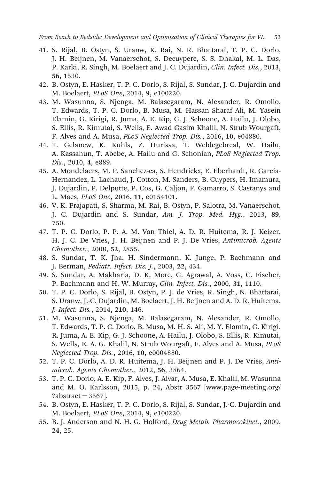- 41. S. Rijal, B. Ostyn, S. Uranw, K. Rai, N. R. Bhattarai, T. P. C. Dorlo, J. H. Beijnen, M. Vanaerschot, S. Decuypere, S. S. Dhakal, M. L. Das, P. Karki, R. Singh, M. Boelaert and J. C. Dujardin, Clin. Infect. Dis., 2013, 56, 1530.
- 42. B. Ostyn, E. Hasker, T. P. C. Dorlo, S. Rijal, S. Sundar, J. C. Dujardin and M. Boelaert, PLoS One, 2014, 9, e100220.
- 43. M. Wasunna, S. Njenga, M. Balasegaram, N. Alexander, R. Omollo, T. Edwards, T. P. C. Dorlo, B. Musa, M. Hassan Sharaf Ali, M. Yasein Elamin, G. Kirigi, R. Juma, A. E. Kip, G. J. Schoone, A. Hailu, J. Olobo, S. Ellis, R. Kimutai, S. Wells, E. Awad Gasim Khalil, N. Strub Wourgaft, F. Alves and A. Musa, PLoS Neglected Trop. Dis., 2016, 10, e04880.
- 44. T. Gelanew, K. Kuhls, Z. Hurissa, T. Weldegebreal, W. Hailu, A. Kassahun, T. Abebe, A. Hailu and G. Schonian, PLoS Neglected Trop. Dis., 2010, 4, e889.
- 45. A. Mondelaers, M. P. Sanchez-ca, S. Hendrickx, E. Eberhardt, R. Garcia-Hernandez, L. Lachaud, J. Cotton, M. Sanders, B. Cuypers, H. Imamura, J. Dujardin, P. Delputte, P. Cos, G. Caljon, F. Gamarro, S. Castanys and L. Maes, PLoS One, 2016, 11, e0154101.
- 46. V. K. Prajapati, S. Sharma, M. Rai, B. Ostyn, P. Salotra, M. Vanaerschot, J. C. Dujardin and S. Sundar, Am. J. Trop. Med. Hyg., 2013, 89, 750.
- 47. T. P. C. Dorlo, P. P. A. M. Van Thiel, A. D. R. Huitema, R. J. Keizer, H. J. C. De Vries, J. H. Beijnen and P. J. De Vries, Antimicrob. Agents Chemother., 2008, 52, 2855.
- 48. S. Sundar, T. K. Jha, H. Sindermann, K. Junge, P. Bachmann and J. Berman, Pediatr. Infect. Dis. J., 2003, 22, 434.
- 49. S. Sundar, A. Makharia, D. K. More, G. Agrawal, A. Voss, C. Fischer, P. Bachmann and H. W. Murray, Clin. Infect. Dis., 2000, 31, 1110.
- 50. T. P. C. Dorlo, S. Rijal, B. Ostyn, P. J. de Vries, R. Singh, N. Bhattarai, S. Uranw, J.-C. Dujardin, M. Boelaert, J. H. Beijnen and A. D. R. Huitema, J. Infect. Dis., 2014, 210, 146.
- 51. M. Wasunna, S. Njenga, M. Balasegaram, N. Alexander, R. Omollo, T. Edwards, T. P. C. Dorlo, B. Musa, M. H. S. Ali, M. Y. Elamin, G. Kirigi, R. Juma, A. E. Kip, G. J. Schoone, A. Hailu, J. Olobo, S. Ellis, R. Kimutai, S. Wells, E. A. G. Khalil, N. Strub Wourgaft, F. Alves and A. Musa, PLoS Neglected Trop. Dis., 2016, 10, e0004880.
- 52. T. P. C. Dorlo, A. D. R. Huitema, J. H. Beijnen and P. J. De Vries, Antimicrob. Agents Chemother., 2012, 56, 3864.
- 53. T. P. C. Dorlo, A. E. Kip, F. Alves, J. Alvar, A. Musa, E. Khalil, M. Wasunna and M. O. Karlsson, 2015, p. 24, Abstr 3567 [www.page-meeting.org/ ?abstract  $=$  3567].
- 54. B. Ostyn, E. Hasker, T. P. C. Dorlo, S. Rijal, S. Sundar, J.-C. Dujardin and M. Boelaert, PLoS One, 2014, 9, e100220.
- 55. B. J. Anderson and N. H. G. Holford, Drug Metab. Pharmacokinet., 2009, 24, 25.